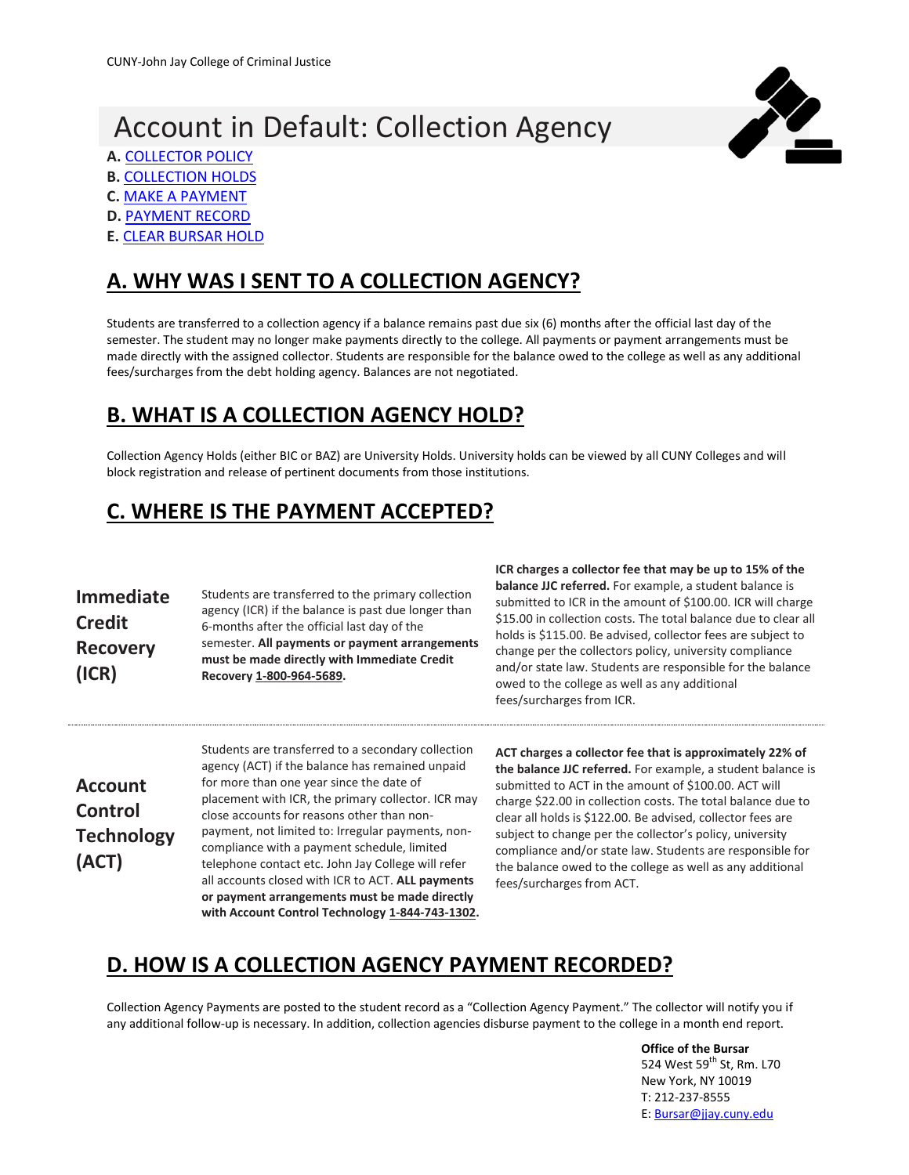# Account in Default: Collection Agency





- **A.** [COLLECTOR POLICY](#page-0-0)
- **B. [COLLECTION HOLDS](#page-0-1) C.** [MAKE A PAYMENT](#page-0-2)
- 
- **D.** [PAYMENT RECORD](#page-0-3)
- **E.** [CLEAR BURSAR HOLD](#page-1-0)

## <span id="page-0-0"></span>**A. WHY WAS I SENT TO A COLLECTION AGENCY?**

Students are transferred to a collection agency if a balance remains past due six (6) months after the official last day of the semester. The student may no longer make payments directly to the college. All payments or payment arrangements must be made directly with the assigned collector. Students are responsible for the balance owed to the college as well as any additional fees/surcharges from the debt holding agency. Balances are not negotiated.

#### <span id="page-0-1"></span>**B. WHAT IS A COLLECTION AGENCY HOLD?**

Collection Agency Holds (either BIC or BAZ) are University Holds. University holds can be viewed by all CUNY Colleges and will block registration and release of pertinent documents from those institutions.

# <span id="page-0-2"></span>**C. WHERE IS THE PAYMENT ACCEPTED?**

| <b>Immediate</b> | Students are transferred to the primary collection<br>agency (ICR) if the balance is past due longer than |
|------------------|-----------------------------------------------------------------------------------------------------------|
| <b>Credit</b>    | 6-months after the official last day of the                                                               |
| <b>Recovery</b>  | semester. All payments or payment arrangements<br>must be made directly with Immediate Credit             |
| (ICR)            | Recovery 1-800-964-5689.                                                                                  |

**ICR charges a collector fee that may be up to 15% of the balance JJC referred.** For example, a student balance is submitted to ICR in the amount of \$100.00. ICR will charge \$15.00 in collection costs. The total balance due to clear all holds is \$115.00. Be advised, collector fees are subject to change per the collectors policy, university compliance and/or state law. Students are responsible for the balance owed to the college as well as any additional fees/surcharges from ICR.

**Account Control Technology (ACT)**

Students are transferred to a secondary collection agency (ACT) if the balance has remained unpaid for more than one year since the date of placement with ICR, the primary collector. ICR may close accounts for reasons other than nonpayment, not limited to: Irregular payments, noncompliance with a payment schedule, limited telephone contact etc. John Jay College will refer all accounts closed with ICR to ACT. **ALL payments or payment arrangements must be made directly with Account Control Technology 1-844-743-1302.**

**ACT charges a collector fee that is approximately 22% of the balance JJC referred.** For example, a student balance is submitted to ACT in the amount of \$100.00. ACT will charge \$22.00 in collection costs. The total balance due to clear all holds is \$122.00. Be advised, collector fees are subject to change per the collector's policy, university compliance and/or state law. Students are responsible for the balance owed to the college as well as any additional fees/surcharges from ACT.

### <span id="page-0-3"></span>**D. HOW IS A COLLECTION AGENCY PAYMENT RECORDED?**

Collection Agency Payments are posted to the student record as a "Collection Agency Payment." The collector will notify you if any additional follow-up is necessary. In addition, collection agencies disburse payment to the college in a month end report.

> **Office of the Bursar** 524 West 59<sup>th</sup> St, Rm. L70 New York, NY 10019 T: 212-237-8555 E: [Bursar@jjay.cuny.edu](mailto:Bursar@jjay.cuny.edu)